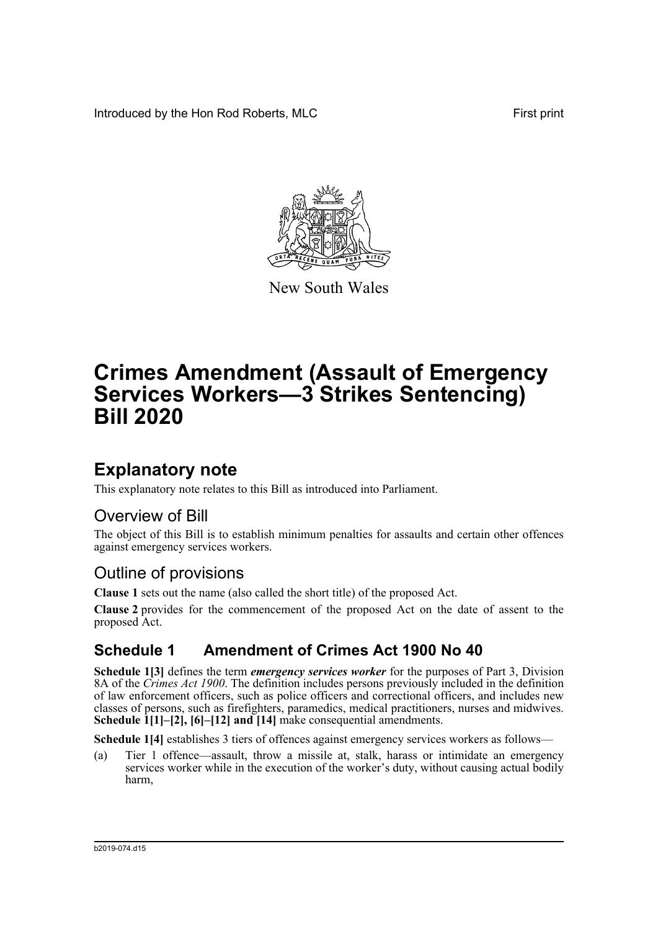Introduced by the Hon Rod Roberts, MLC First print



New South Wales

# **Crimes Amendment (Assault of Emergency Services Workers—3 Strikes Sentencing) Bill 2020**

### **Explanatory note**

This explanatory note relates to this Bill as introduced into Parliament.

### Overview of Bill

The object of this Bill is to establish minimum penalties for assaults and certain other offences against emergency services workers.

### Outline of provisions

**Clause 1** sets out the name (also called the short title) of the proposed Act.

**Clause 2** provides for the commencement of the proposed Act on the date of assent to the proposed Act.

### **Schedule 1 Amendment of Crimes Act 1900 No 40**

**Schedule 1[3]** defines the term *emergency services worker* for the purposes of Part 3, Division 8A of the *Crimes Act 1900*. The definition includes persons previously included in the definition of law enforcement officers, such as police officers and correctional officers, and includes new classes of persons, such as firefighters, paramedics, medical practitioners, nurses and midwives. **Schedule 1[1]–[2], [6]–[12] and [14]** make consequential amendments.

**Schedule 1[4]** establishes 3 tiers of offences against emergency services workers as follows—

(a) Tier 1 offence—assault, throw a missile at, stalk, harass or intimidate an emergency services worker while in the execution of the worker's duty, without causing actual bodily harm,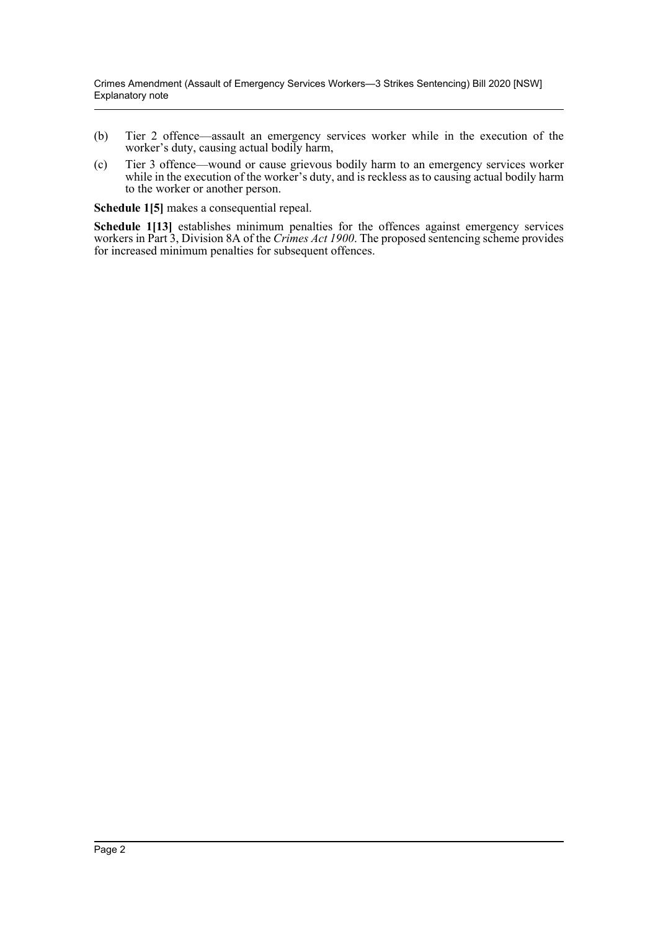- (b) Tier 2 offence—assault an emergency services worker while in the execution of the worker's duty, causing actual bodily harm,
- (c) Tier 3 offence—wound or cause grievous bodily harm to an emergency services worker while in the execution of the worker's duty, and is reckless as to causing actual bodily harm to the worker or another person.

**Schedule 1[5]** makes a consequential repeal.

**Schedule 1[13]** establishes minimum penalties for the offences against emergency services workers in Part 3, Division 8A of the *Crimes Act 1900*. The proposed sentencing scheme provides for increased minimum penalties for subsequent offences.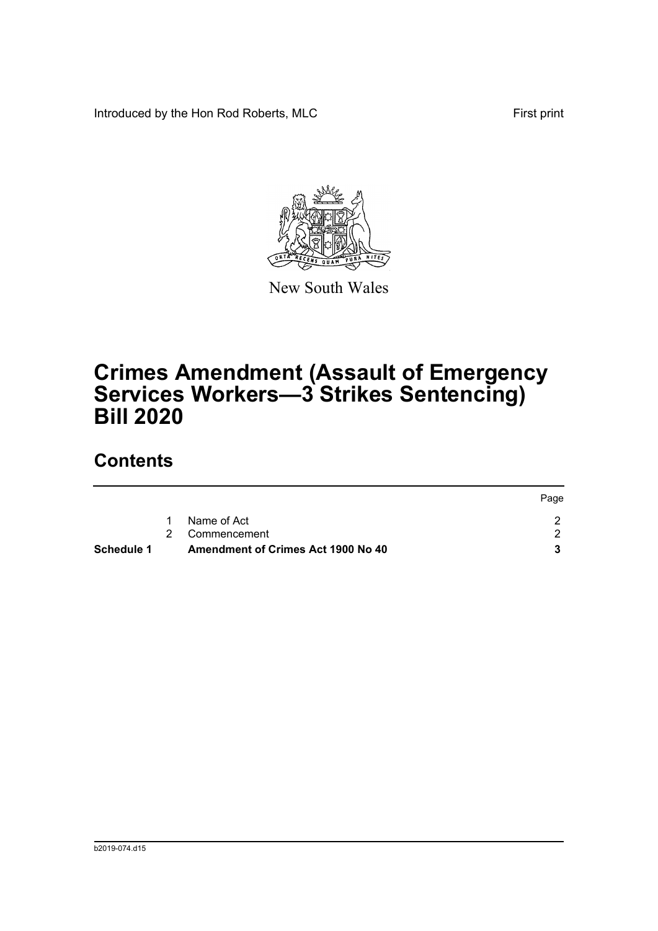Introduced by the Hon Rod Roberts, MLC First print



New South Wales

## **Crimes Amendment (Assault of Emergency Services Workers—3 Strikes Sentencing) Bill 2020**

## **Contents**

| Schedule 1 |   | <b>Amendment of Crimes Act 1900 No 40</b> |      |
|------------|---|-------------------------------------------|------|
|            |   | 2 Commencement                            |      |
|            | 1 | Name of Act                               |      |
|            |   |                                           | Page |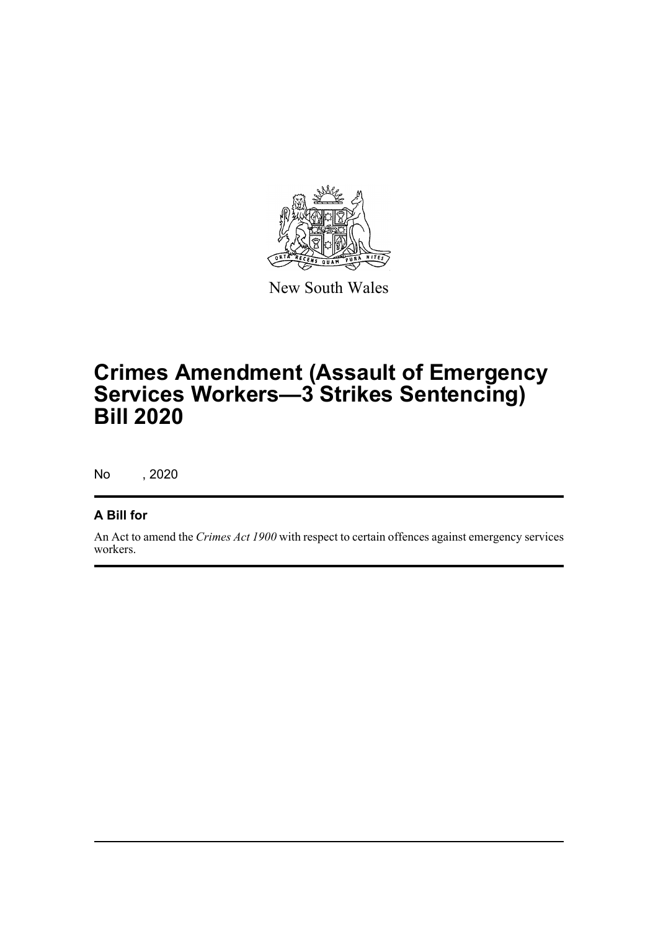

New South Wales

## **Crimes Amendment (Assault of Emergency Services Workers—3 Strikes Sentencing) Bill 2020**

No , 2020

### **A Bill for**

An Act to amend the *Crimes Act 1900* with respect to certain offences against emergency services workers.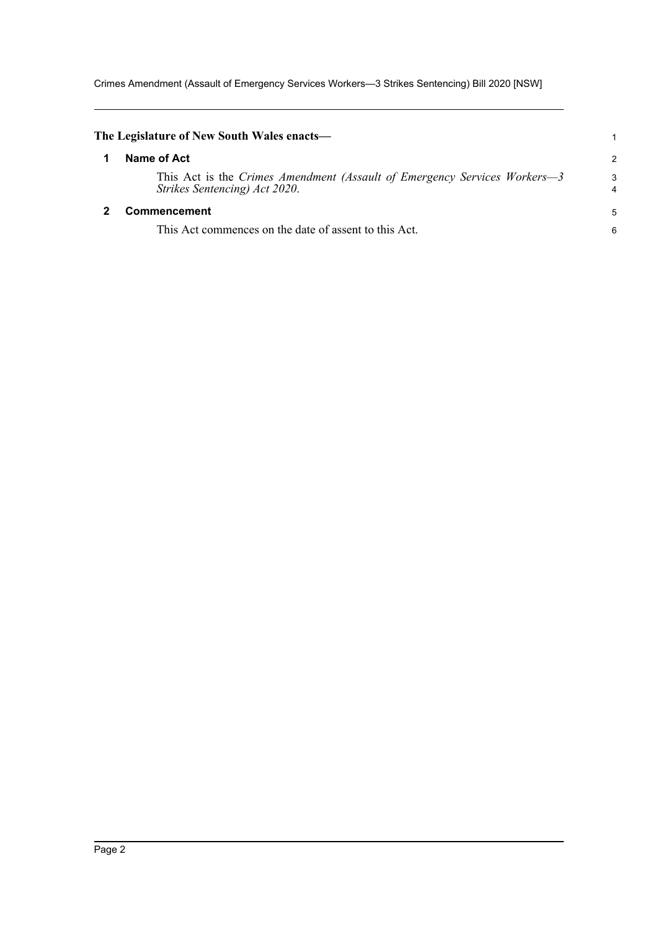Crimes Amendment (Assault of Emergency Services Workers—3 Strikes Sentencing) Bill 2020 [NSW]

<span id="page-4-1"></span><span id="page-4-0"></span>

| The Legislature of New South Wales enacts—                                                                 |        |
|------------------------------------------------------------------------------------------------------------|--------|
| Name of Act                                                                                                | 2      |
| This Act is the Crimes Amendment (Assault of Emergency Services Workers—3<br>Strikes Sentencing) Act 2020. | 3<br>4 |
| <b>Commencement</b>                                                                                        | 5      |
| This Act commences on the date of assent to this Act.                                                      | 6      |
|                                                                                                            |        |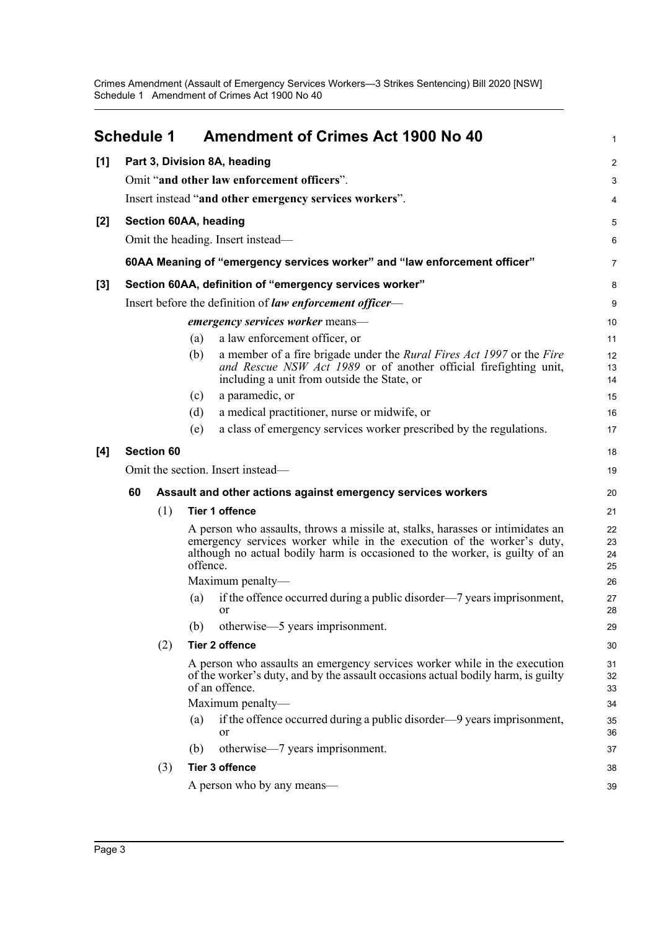Crimes Amendment (Assault of Emergency Services Workers—3 Strikes Sentencing) Bill 2020 [NSW] Schedule 1 Amendment of Crimes Act 1900 No 40

<span id="page-5-0"></span>

|                  | Schedule 1                                                                |                                                          | <b>Amendment of Crimes Act 1900 No 40</b>                                                                                                                                                                                                           | 1                    |
|------------------|---------------------------------------------------------------------------|----------------------------------------------------------|-----------------------------------------------------------------------------------------------------------------------------------------------------------------------------------------------------------------------------------------------------|----------------------|
| [1]              |                                                                           |                                                          | Part 3, Division 8A, heading                                                                                                                                                                                                                        | $\overline{2}$       |
|                  |                                                                           |                                                          | Omit "and other law enforcement officers".                                                                                                                                                                                                          | 3                    |
|                  |                                                                           |                                                          | Insert instead "and other emergency services workers".                                                                                                                                                                                              | 4                    |
| [2]              |                                                                           |                                                          | Section 60AA, heading                                                                                                                                                                                                                               | 5                    |
|                  |                                                                           |                                                          | Omit the heading. Insert instead—                                                                                                                                                                                                                   | 6                    |
|                  | 60AA Meaning of "emergency services worker" and "law enforcement officer" |                                                          |                                                                                                                                                                                                                                                     | $\overline{7}$       |
| $\left[3\right]$ | Section 60AA, definition of "emergency services worker"                   |                                                          |                                                                                                                                                                                                                                                     | 8                    |
|                  |                                                                           | Insert before the definition of law enforcement officer— |                                                                                                                                                                                                                                                     |                      |
|                  |                                                                           |                                                          | emergency services worker means-                                                                                                                                                                                                                    | 10                   |
|                  |                                                                           |                                                          | a law enforcement officer, or<br>(a)                                                                                                                                                                                                                | 11                   |
|                  |                                                                           |                                                          | a member of a fire brigade under the <i>Rural Fires Act 1997</i> or the <i>Fire</i><br>(b)<br>and Rescue NSW Act 1989 or of another official firefighting unit,<br>including a unit from outside the State, or                                      | 12<br>13<br>14       |
|                  |                                                                           |                                                          | a paramedic, or<br>(c)                                                                                                                                                                                                                              | 15                   |
|                  |                                                                           |                                                          | (d)<br>a medical practitioner, nurse or midwife, or                                                                                                                                                                                                 | 16                   |
|                  |                                                                           |                                                          | a class of emergency services worker prescribed by the regulations.<br>(e)                                                                                                                                                                          | 17                   |
| [4]              |                                                                           | <b>Section 60</b>                                        |                                                                                                                                                                                                                                                     | 18                   |
|                  | Omit the section. Insert instead—                                         |                                                          |                                                                                                                                                                                                                                                     | 19                   |
|                  | 60                                                                        |                                                          | Assault and other actions against emergency services workers                                                                                                                                                                                        | 20                   |
|                  |                                                                           | (1)                                                      | <b>Tier 1 offence</b>                                                                                                                                                                                                                               | 21                   |
|                  |                                                                           |                                                          | A person who assaults, throws a missile at, stalks, harasses or intimidates an<br>emergency services worker while in the execution of the worker's duty,<br>although no actual bodily harm is occasioned to the worker, is guilty of an<br>offence. | 22<br>23<br>24<br>25 |
|                  |                                                                           |                                                          | Maximum penalty-                                                                                                                                                                                                                                    | 26                   |
|                  |                                                                           |                                                          | if the offence occurred during a public disorder—7 years imprisonment,<br>(a)<br><b>or</b>                                                                                                                                                          | 27<br>28             |
|                  |                                                                           |                                                          | otherwise-5 years imprisonment.<br>(b)                                                                                                                                                                                                              | 29                   |
|                  |                                                                           | (2)                                                      | <b>Tier 2 offence</b>                                                                                                                                                                                                                               | 30                   |
|                  |                                                                           |                                                          | A person who assaults an emergency services worker while in the execution<br>of the worker's duty, and by the assault occasions actual bodily harm, is guilty<br>of an offence.                                                                     | 31<br>32<br>33       |
|                  |                                                                           |                                                          | Maximum penalty-                                                                                                                                                                                                                                    | 34                   |
|                  |                                                                           |                                                          | if the offence occurred during a public disorder—9 years imprisonment,<br>(a)<br>or                                                                                                                                                                 | 35<br>36             |
|                  |                                                                           |                                                          | otherwise—7 years imprisonment.<br>(b)                                                                                                                                                                                                              | 37                   |
|                  |                                                                           | (3)                                                      | <b>Tier 3 offence</b>                                                                                                                                                                                                                               | 38                   |
|                  |                                                                           |                                                          | A person who by any means—                                                                                                                                                                                                                          | 39                   |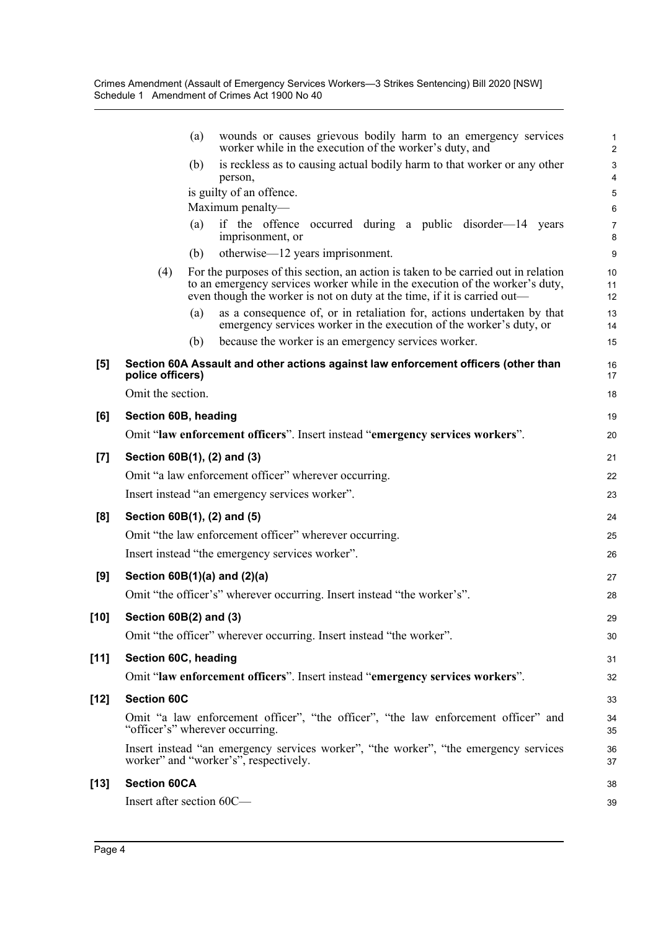|        | wounds or causes grievous bodily harm to an emergency services<br>(a)<br>worker while in the execution of the worker's duty, and                                                                                                                      | 1<br>$\overline{a}$ |
|--------|-------------------------------------------------------------------------------------------------------------------------------------------------------------------------------------------------------------------------------------------------------|---------------------|
|        | is reckless as to causing actual bodily harm to that worker or any other<br>(b)<br>person,                                                                                                                                                            | 3<br>4              |
|        | is guilty of an offence.                                                                                                                                                                                                                              | 5                   |
|        | Maximum penalty-                                                                                                                                                                                                                                      | 6                   |
|        | if the offence occurred during a public disorder-14 years<br>(a)<br>imprisonment, or                                                                                                                                                                  | 7<br>8              |
|        | otherwise—12 years imprisonment.<br>(b)                                                                                                                                                                                                               | 9                   |
|        | For the purposes of this section, an action is taken to be carried out in relation<br>(4)<br>to an emergency services worker while in the execution of the worker's duty,<br>even though the worker is not on duty at the time, if it is carried out— | 10<br>11<br>12      |
|        | as a consequence of, or in retaliation for, actions undertaken by that<br>(a)<br>emergency services worker in the execution of the worker's duty, or                                                                                                  | 13<br>14            |
|        | because the worker is an emergency services worker.<br>(b)                                                                                                                                                                                            | 15                  |
| [5]    | Section 60A Assault and other actions against law enforcement officers (other than<br>police officers)                                                                                                                                                | 16<br>17            |
|        | Omit the section.                                                                                                                                                                                                                                     | 18                  |
| [6]    | Section 60B, heading                                                                                                                                                                                                                                  | 19                  |
|        | Omit "law enforcement officers". Insert instead "emergency services workers".                                                                                                                                                                         | 20                  |
| $[7]$  | Section 60B(1), (2) and (3)                                                                                                                                                                                                                           | 21                  |
|        | Omit "a law enforcement officer" wherever occurring.                                                                                                                                                                                                  | 22                  |
|        | Insert instead "an emergency services worker".                                                                                                                                                                                                        | 23                  |
| [8]    | Section 60B(1), (2) and (5)                                                                                                                                                                                                                           | 24                  |
|        | Omit "the law enforcement officer" wherever occurring.                                                                                                                                                                                                | 25                  |
|        | Insert instead "the emergency services worker".                                                                                                                                                                                                       | 26                  |
| [9]    | Section $60B(1)(a)$ and $(2)(a)$                                                                                                                                                                                                                      | 27                  |
|        | Omit "the officer's" wherever occurring. Insert instead "the worker's".                                                                                                                                                                               | 28                  |
| [10]   | Section 60B(2) and (3)                                                                                                                                                                                                                                | 29                  |
|        | Omit "the officer" wherever occurring. Insert instead "the worker".                                                                                                                                                                                   | 30                  |
| $[11]$ | Section 60C, heading                                                                                                                                                                                                                                  | 31                  |
|        | Omit "law enforcement officers". Insert instead "emergency services workers".                                                                                                                                                                         | 32                  |
| [12]   | <b>Section 60C</b>                                                                                                                                                                                                                                    | 33                  |
|        | Omit "a law enforcement officer", "the officer", "the law enforcement officer" and<br>"officer's" wherever occurring.                                                                                                                                 | 34<br>35            |
|        | Insert instead "an emergency services worker", "the worker", "the emergency services<br>worker" and "worker's", respectively.                                                                                                                         | 36<br>37            |
| [13]   | <b>Section 60CA</b>                                                                                                                                                                                                                                   | 38                  |
|        | Insert after section 60C-                                                                                                                                                                                                                             | 39                  |
|        |                                                                                                                                                                                                                                                       |                     |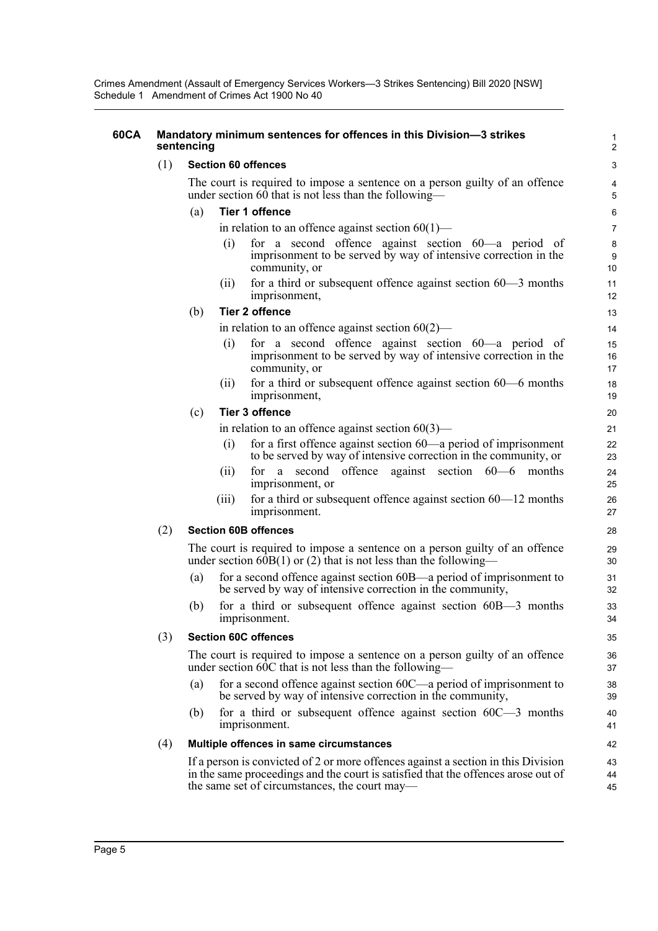Crimes Amendment (Assault of Emergency Services Workers—3 Strikes Sentencing) Bill 2020 [NSW] Schedule 1 Amendment of Crimes Act 1900 No 40

#### **60CA Mandatory minimum sentences for offences in this Division—3 strikes sentencing**

#### (1) **Section 60 offences**

The court is required to impose a sentence on a person guilty of an offence under section  $60$  that is not less than the following-

#### (a) **Tier 1 offence**

in relation to an offence against section  $60(1)$ —

(i) for a second offence against section 60—a period of imprisonment to be served by way of intensive correction in the community, or

(ii) for a third or subsequent offence against section 60—3 months imprisonment,

(b) **Tier 2 offence**

in relation to an offence against section  $60(2)$ —

- (i) for a second offence against section 60—a period of imprisonment to be served by way of intensive correction in the community, or
- (ii) for a third or subsequent offence against section 60—6 months imprisonment,

#### (c) **Tier 3 offence**

in relation to an offence against section  $60(3)$ —

- (i) for a first offence against section 60—a period of imprisonment to be served by way of intensive correction in the community, or
- (ii) for a second offence against section 60—6 months imprisonment, or
- (iii) for a third or subsequent offence against section  $60-12$  months imprisonment.

#### (2) **Section 60B offences**

The court is required to impose a sentence on a person guilty of an offence under section  $60B(1)$  or (2) that is not less than the following-

- (a) for a second offence against section 60B—a period of imprisonment to be served by way of intensive correction in the community,
- (b) for a third or subsequent offence against section 60B—3 months imprisonment.

#### (3) **Section 60C offences**

The court is required to impose a sentence on a person guilty of an offence under section 60C that is not less than the following—

- (a) for a second offence against section 60C—a period of imprisonment to be served by way of intensive correction in the community,
- (b) for a third or subsequent offence against section 60C—3 months imprisonment.

#### (4) **Multiple offences in same circumstances**

If a person is convicted of 2 or more offences against a section in this Division in the same proceedings and the court is satisfied that the offences arose out of the same set of circumstances, the court may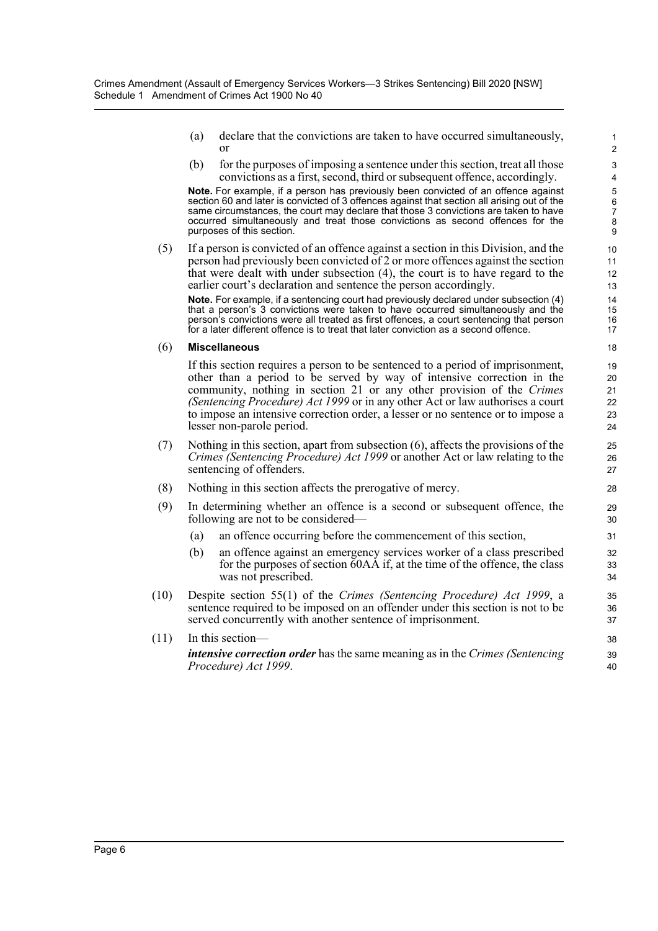(a) declare that the convictions are taken to have occurred simultaneously, or

(b) for the purposes of imposing a sentence under this section, treat all those convictions as a first, second, third or subsequent offence, accordingly.

**Note.** For example, if a person has previously been convicted of an offence against section 60 and later is convicted of 3 offences against that section all arising out of the same circumstances, the court may declare that those 3 convictions are taken to have occurred simultaneously and treat those convictions as second offences for the purposes of this section.

(5) If a person is convicted of an offence against a section in this Division, and the person had previously been convicted of 2 or more offences against the section that were dealt with under subsection (4), the court is to have regard to the earlier court's declaration and sentence the person accordingly.

**Note.** For example, if a sentencing court had previously declared under subsection (4) that a person's 3 convictions were taken to have occurred simultaneously and the person's convictions were all treated as first offences, a court sentencing that person for a later different offence is to treat that later conviction as a second offence.

#### (6) **Miscellaneous**

If this section requires a person to be sentenced to a period of imprisonment, other than a period to be served by way of intensive correction in the community, nothing in section 21 or any other provision of the *Crimes (Sentencing Procedure) Act 1999* or in any other Act or law authorises a court to impose an intensive correction order, a lesser or no sentence or to impose a lesser non-parole period.

- (7) Nothing in this section, apart from subsection (6), affects the provisions of the *Crimes (Sentencing Procedure) Act 1999* or another Act or law relating to the sentencing of offenders.
- (8) Nothing in this section affects the prerogative of mercy.
- (9) In determining whether an offence is a second or subsequent offence, the following are not to be considered—
	- (a) an offence occurring before the commencement of this section,
	- (b) an offence against an emergency services worker of a class prescribed for the purposes of section 60AA if, at the time of the offence, the class was not prescribed.
- (10) Despite section 55(1) of the *Crimes (Sentencing Procedure) Act 1999*, a sentence required to be imposed on an offender under this section is not to be served concurrently with another sentence of imprisonment.

(11) In this section *intensive correction order* has the same meaning as in the *Crimes (Sentencing Procedure) Act 1999*.